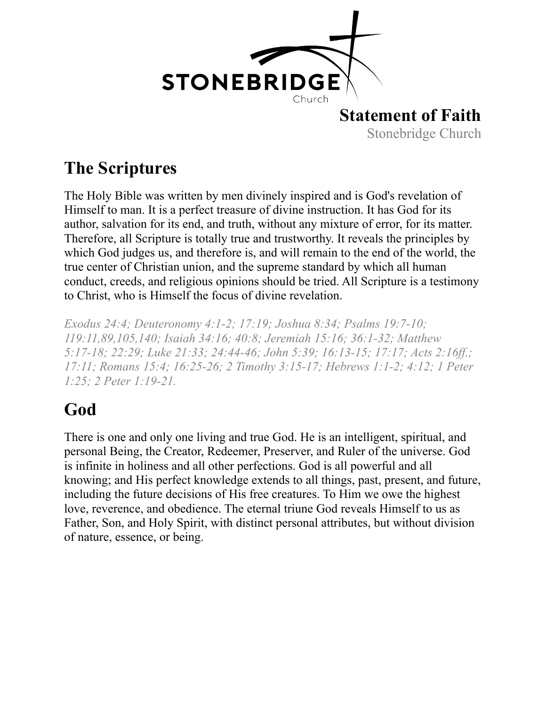

#### **The Scriptures**

The Holy Bible was written by men divinely inspired and is God's revelation of Himself to man. It is a perfect treasure of divine instruction. It has God for its author, salvation for its end, and truth, without any mixture of error, for its matter. Therefore, all Scripture is totally true and trustworthy. It reveals the principles by which God judges us, and therefore is, and will remain to the end of the world, the true center of Christian union, and the supreme standard by which all human conduct, creeds, and religious opinions should be tried. All Scripture is a testimony to Christ, who is Himself the focus of divine revelation.

*Exodus 24:4; Deuteronomy 4:1-2; 17:19; Joshua 8:34; Psalms 19:7-10; 119:11,89,105,140; Isaiah 34:16; 40:8; Jeremiah 15:16; 36:1-32; Matthew 5:17-18; 22:29; Luke 21:33; 24:44-46; John 5:39; 16:13-15; 17:17; Acts 2:16ff.; 17:11; Romans 15:4; 16:25-26; 2 Timothy 3:15-17; Hebrews 1:1-2; 4:12; 1 Peter 1:25; 2 Peter 1:19-21.*

# **God**

There is one and only one living and true God. He is an intelligent, spiritual, and personal Being, the Creator, Redeemer, Preserver, and Ruler of the universe. God is infinite in holiness and all other perfections. God is all powerful and all knowing; and His perfect knowledge extends to all things, past, present, and future, including the future decisions of His free creatures. To Him we owe the highest love, reverence, and obedience. The eternal triune God reveals Himself to us as Father, Son, and Holy Spirit, with distinct personal attributes, but without division of nature, essence, or being.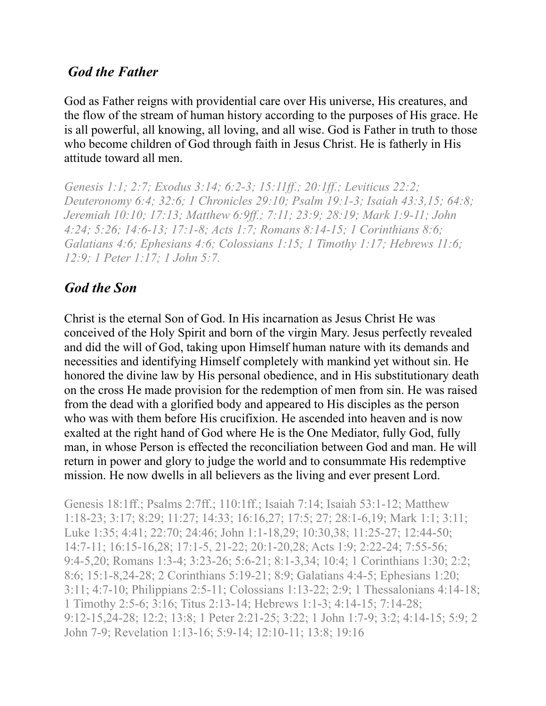#### *God the Father*

God as Father reigns with providential care over His universe, His creatures, and the flow of the stream of human history according to the purposes of His grace. He is all powerful, all knowing, all loving, and all wise. God is Father in truth to those who become children of God through faith in Jesus Christ. He is fatherly in His attitude toward all men.

*Genesis 1:1; 2:7; Exodus 3:14; 6:2-3; 15:11ff.; 20:1ff.; Leviticus 22:2; Deuteronomy 6:4; 32:6; 1 Chronicles 29:10; Psalm 19:1-3; Isaiah 43:3,15; 64:8; Jeremiah 10:10; 17:13; Matthew 6:9ff.; 7:11; 23:9; 28:19; Mark 1:9-11; John 4:24; 5:26; 14:6-13; 17:1-8; Acts 1:7; Romans 8:14-15; 1 Corinthians 8:6; Galatians 4:6; Ephesians 4:6; Colossians 1:15; 1 Timothy 1:17; Hebrews 11:6; 12:9; 1 Peter 1:17; 1 John 5:7.*

#### *God the Son*

Christ is the eternal Son of God. In His incarnation as Jesus Christ He was conceived of the Holy Spirit and born of the virgin Mary. Jesus perfectly revealed and did the will of God, taking upon Himself human nature with its demands and necessities and identifying Himself completely with mankind yet without sin. He honored the divine law by His personal obedience, and in His substitutionary death on the cross He made provision for the redemption of men from sin. He was raised from the dead with a glorified body and appeared to His disciples as the person who was with them before His crucifixion. He ascended into heaven and is now exalted at the right hand of God where He is the One Mediator, fully God, fully man, in whose Person is effected the reconciliation between God and man. He will return in power and glory to judge the world and to consummate His redemptive mission. He now dwells in all believers as the living and ever present Lord.

Genesis 18:1ff.; Psalms 2:7ff.; 110:1ff.; Isaiah 7:14; Isaiah 53:1-12; Matthew 1:18-23; 3:17; 8:29; 11:27; 14:33; 16:16,27; 17:5; 27; 28:1-6,19; Mark 1:1; 3:11; Luke 1:35; 4:41; 22:70; 24:46; John 1:1-18,29; 10:30,38; 11:25-27; 12:44-50; 14:7-11; 16:15-16,28; 17:1-5, 21-22; 20:1-20,28; Acts 1:9; 2:22-24; 7:55-56; 9:4-5,20; Romans 1:3-4; 3:23-26; 5:6-21; 8:1-3,34; 10:4; 1 Corinthians 1:30; 2:2; 8:6; 15:1-8,24-28; 2 Corinthians 5:19-21; 8:9; Galatians 4:4-5; Ephesians 1:20; 3:11; 4:7-10; Philippians 2:5-11; Colossians 1:13-22; 2:9; 1 Thessalonians 4:14-18; 1 Timothy 2:5-6; 3:16; Titus 2:13-14; Hebrews 1:1-3; 4:14-15; 7:14-28; 9:12-15,24-28; 12:2; 13:8; 1 Peter 2:21-25; 3:22; 1 John 1:7-9; 3:2; 4:14-15; 5:9; 2 John 7-9; Revelation 1:13-16; 5:9-14; 12:10-11; 13:8; 19:16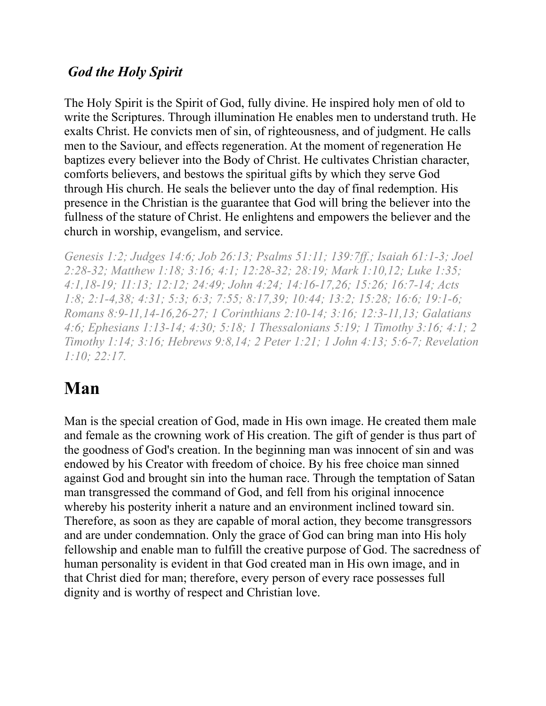#### *God the Holy Spirit*

The Holy Spirit is the Spirit of God, fully divine. He inspired holy men of old to write the Scriptures. Through illumination He enables men to understand truth. He exalts Christ. He convicts men of sin, of righteousness, and of judgment. He calls men to the Saviour, and effects regeneration. At the moment of regeneration He baptizes every believer into the Body of Christ. He cultivates Christian character, comforts believers, and bestows the spiritual gifts by which they serve God through His church. He seals the believer unto the day of final redemption. His presence in the Christian is the guarantee that God will bring the believer into the fullness of the stature of Christ. He enlightens and empowers the believer and the church in worship, evangelism, and service.

*Genesis 1:2; Judges 14:6; Job 26:13; Psalms 51:11; 139:7ff.; Isaiah 61:1-3; Joel 2:28-32; Matthew 1:18; 3:16; 4:1; 12:28-32; 28:19; Mark 1:10,12; Luke 1:35; 4:1,18-19; 11:13; 12:12; 24:49; John 4:24; 14:16-17,26; 15:26; 16:7-14; Acts 1:8; 2:1-4,38; 4:31; 5:3; 6:3; 7:55; 8:17,39; 10:44; 13:2; 15:28; 16:6; 19:1-6; Romans 8:9-11,14-16,26-27; 1 Corinthians 2:10-14; 3:16; 12:3-11,13; Galatians 4:6; Ephesians 1:13-14; 4:30; 5:18; 1 Thessalonians 5:19; 1 Timothy 3:16; 4:1; 2 Timothy 1:14; 3:16; Hebrews 9:8,14; 2 Peter 1:21; 1 John 4:13; 5:6-7; Revelation 1:10; 22:17.*

## **Man**

Man is the special creation of God, made in His own image. He created them male and female as the crowning work of His creation. The gift of gender is thus part of the goodness of God's creation. In the beginning man was innocent of sin and was endowed by his Creator with freedom of choice. By his free choice man sinned against God and brought sin into the human race. Through the temptation of Satan man transgressed the command of God, and fell from his original innocence whereby his posterity inherit a nature and an environment inclined toward sin. Therefore, as soon as they are capable of moral action, they become transgressors and are under condemnation. Only the grace of God can bring man into His holy fellowship and enable man to fulfill the creative purpose of God. The sacredness of human personality is evident in that God created man in His own image, and in that Christ died for man; therefore, every person of every race possesses full dignity and is worthy of respect and Christian love.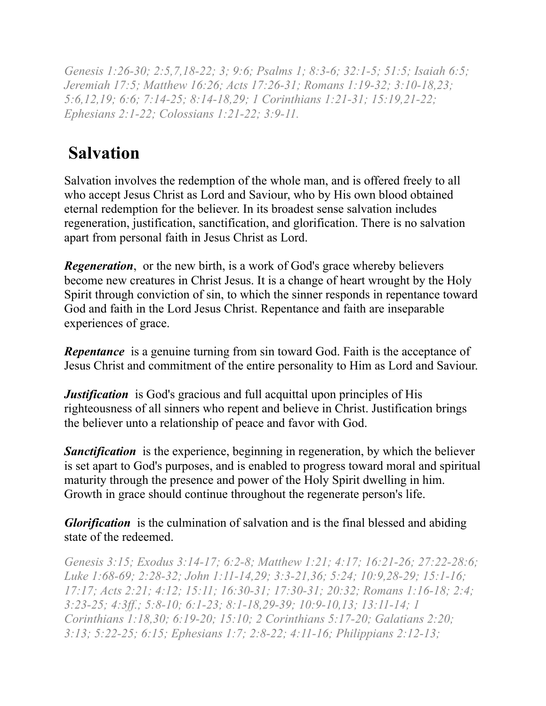*Genesis 1:26-30; 2:5,7,18-22; 3; 9:6; Psalms 1; 8:3-6; 32:1-5; 51:5; Isaiah 6:5; Jeremiah 17:5; Matthew 16:26; Acts 17:26-31; Romans 1:19-32; 3:10-18,23; 5:6,12,19; 6:6; 7:14-25; 8:14-18,29; 1 Corinthians 1:21-31; 15:19,21-22; Ephesians 2:1-22; Colossians 1:21-22; 3:9-11.* 

## **Salvation**

Salvation involves the redemption of the whole man, and is offered freely to all who accept Jesus Christ as Lord and Saviour, who by His own blood obtained eternal redemption for the believer. In its broadest sense salvation includes regeneration, justification, sanctification, and glorification. There is no salvation apart from personal faith in Jesus Christ as Lord.

*Regeneration*, or the new birth, is a work of God's grace whereby believers become new creatures in Christ Jesus. It is a change of heart wrought by the Holy Spirit through conviction of sin, to which the sinner responds in repentance toward God and faith in the Lord Jesus Christ. Repentance and faith are inseparable experiences of grace.

**Repentance** is a genuine turning from sin toward God. Faith is the acceptance of Jesus Christ and commitment of the entire personality to Him as Lord and Saviour.

*Justification* is God's gracious and full acquittal upon principles of His righteousness of all sinners who repent and believe in Christ. Justification brings the believer unto a relationship of peace and favor with God.

**Sanctification** is the experience, beginning in regeneration, by which the believer is set apart to God's purposes, and is enabled to progress toward moral and spiritual maturity through the presence and power of the Holy Spirit dwelling in him. Growth in grace should continue throughout the regenerate person's life.

*Glorification* is the culmination of salvation and is the final blessed and abiding state of the redeemed.

*Genesis 3:15; Exodus 3:14-17; 6:2-8; Matthew 1:21; 4:17; 16:21-26; 27:22-28:6; Luke 1:68-69; 2:28-32; John 1:11-14,29; 3:3-21,36; 5:24; 10:9,28-29; 15:1-16; 17:17; Acts 2:21; 4:12; 15:11; 16:30-31; 17:30-31; 20:32; Romans 1:16-18; 2:4; 3:23-25; 4:3ff.; 5:8-10; 6:1-23; 8:1-18,29-39; 10:9-10,13; 13:11-14; 1 Corinthians 1:18,30; 6:19-20; 15:10; 2 Corinthians 5:17-20; Galatians 2:20; 3:13; 5:22-25; 6:15; Ephesians 1:7; 2:8-22; 4:11-16; Philippians 2:12-13;*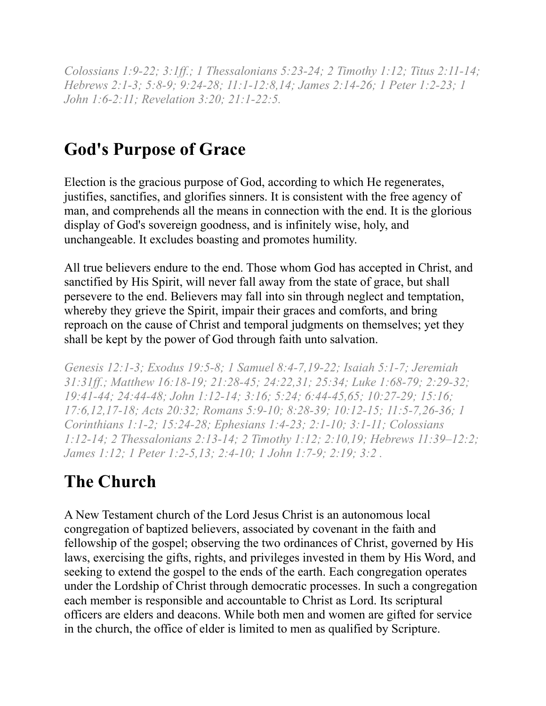*Colossians 1:9-22; 3:1ff.; 1 Thessalonians 5:23-24; 2 Timothy 1:12; Titus 2:11-14; Hebrews 2:1-3; 5:8-9; 9:24-28; 11:1-12:8,14; James 2:14-26; 1 Peter 1:2-23; 1 John 1:6-2:11; Revelation 3:20; 21:1-22:5.*

## **God's Purpose of Grace**

Election is the gracious purpose of God, according to which He regenerates, justifies, sanctifies, and glorifies sinners. It is consistent with the free agency of man, and comprehends all the means in connection with the end. It is the glorious display of God's sovereign goodness, and is infinitely wise, holy, and unchangeable. It excludes boasting and promotes humility.

All true believers endure to the end. Those whom God has accepted in Christ, and sanctified by His Spirit, will never fall away from the state of grace, but shall persevere to the end. Believers may fall into sin through neglect and temptation, whereby they grieve the Spirit, impair their graces and comforts, and bring reproach on the cause of Christ and temporal judgments on themselves; yet they shall be kept by the power of God through faith unto salvation.

*Genesis 12:1-3; Exodus 19:5-8; 1 Samuel 8:4-7,19-22; Isaiah 5:1-7; Jeremiah 31:31ff.; Matthew 16:18-19; 21:28-45; 24:22,31; 25:34; Luke 1:68-79; 2:29-32; 19:41-44; 24:44-48; John 1:12-14; 3:16; 5:24; 6:44-45,65; 10:27-29; 15:16; 17:6,12,17-18; Acts 20:32; Romans 5:9-10; 8:28-39; 10:12-15; 11:5-7,26-36; 1 Corinthians 1:1-2; 15:24-28; Ephesians 1:4-23; 2:1-10; 3:1-11; Colossians 1:12-14; 2 Thessalonians 2:13-14; 2 Timothy 1:12; 2:10,19; Hebrews 11:39–12:2; James 1:12; 1 Peter 1:2-5,13; 2:4-10; 1 John 1:7-9; 2:19; 3:2 .*

## **The Church**

A New Testament church of the Lord Jesus Christ is an autonomous local congregation of baptized believers, associated by covenant in the faith and fellowship of the gospel; observing the two ordinances of Christ, governed by His laws, exercising the gifts, rights, and privileges invested in them by His Word, and seeking to extend the gospel to the ends of the earth. Each congregation operates under the Lordship of Christ through democratic processes. In such a congregation each member is responsible and accountable to Christ as Lord. Its scriptural officers are elders and deacons. While both men and women are gifted for service in the church, the office of elder is limited to men as qualified by Scripture.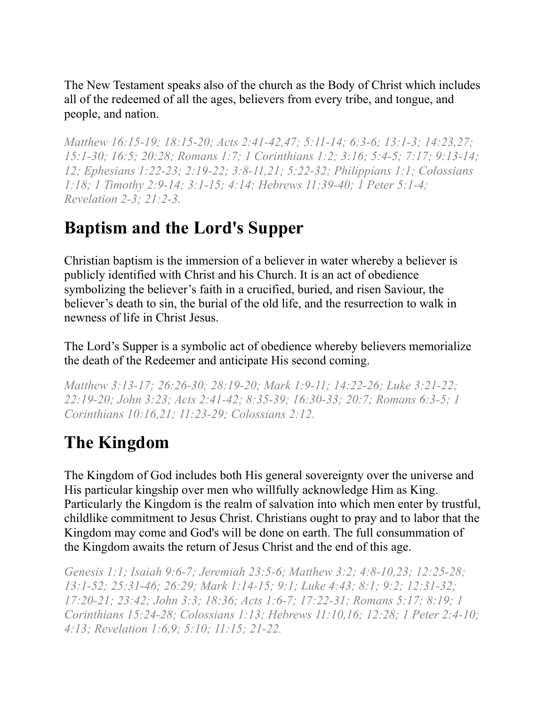The New Testament speaks also of the church as the Body of Christ which includes all of the redeemed of all the ages, believers from every tribe, and tongue, and people, and nation.

*Matthew 16:15-19; 18:15-20; Acts 2:41-42,47; 5:11-14; 6:3-6; 13:1-3; 14:23,27; 15:1-30; 16:5; 20:28; Romans 1:7; 1 Corinthians 1:2; 3:16; 5:4-5; 7:17; 9:13-14; 12; Ephesians 1:22-23; 2:19-22; 3:8-11,21; 5:22-32; Philippians 1:1; Colossians 1:18; 1 Timothy 2:9-14; 3:1-15; 4:14; Hebrews 11:39-40; 1 Peter 5:1-4; Revelation 2-3; 21:2-3.*

### **Baptism and the Lord's Supper**

Christian baptism is the immersion of a believer in water whereby a believer is publicly identified with Christ and his Church. It is an act of obedience symbolizing the believer's faith in a crucified, buried, and risen Saviour, the believer's death to sin, the burial of the old life, and the resurrection to walk in newness of life in Christ Jesus.

The Lord's Supper is a symbolic act of obedience whereby believers memorialize the death of the Redeemer and anticipate His second coming.

*Matthew 3:13-17; 26:26-30; 28:19-20; Mark 1:9-11; 14:22-26; Luke 3:21-22; 22:19-20; John 3:23; Acts 2:41-42; 8:35-39; 16:30-33; 20:7; Romans 6:3-5; 1 Corinthians 10:16,21; 11:23-29; Colossians 2:12.* 

## **The Kingdom**

The Kingdom of God includes both His general sovereignty over the universe and His particular kingship over men who willfully acknowledge Him as King. Particularly the Kingdom is the realm of salvation into which men enter by trustful, childlike commitment to Jesus Christ. Christians ought to pray and to labor that the Kingdom may come and God's will be done on earth. The full consummation of the Kingdom awaits the return of Jesus Christ and the end of this age.

*Genesis 1:1; Isaiah 9:6-7; Jeremiah 23:5-6; Matthew 3:2; 4:8-10,23; 12:25-28; 13:1-52; 25:31-46; 26:29; Mark 1:14-15; 9:1; Luke 4:43; 8:1; 9:2; 12:31-32; 17:20-21; 23:42; John 3:3; 18:36; Acts 1:6-7; 17:22-31; Romans 5:17; 8:19; 1 Corinthians 15:24-28; Colossians 1:13; Hebrews 11:10,16; 12:28; 1 Peter 2:4-10; 4:13; Revelation 1:6,9; 5:10; 11:15; 21-22.*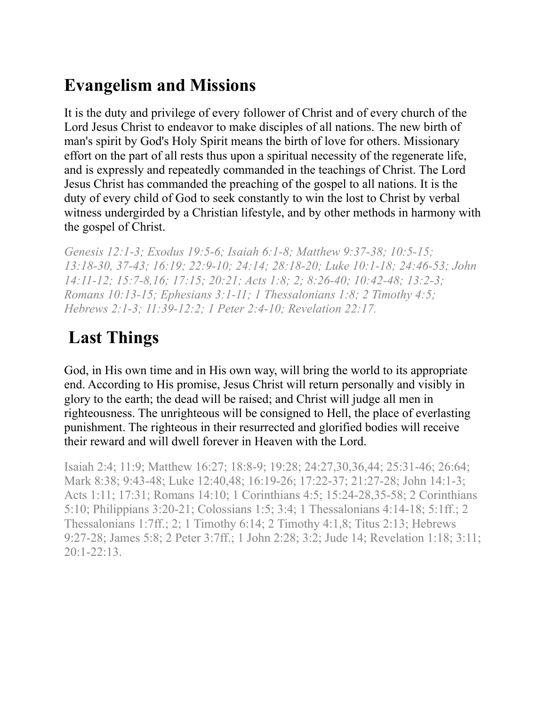### **Evangelism and Missions**

It is the duty and privilege of every follower of Christ and of every church of the Lord Jesus Christ to endeavor to make disciples of all nations. The new birth of man's spirit by God's Holy Spirit means the birth of love for others. Missionary effort on the part of all rests thus upon a spiritual necessity of the regenerate life, and is expressly and repeatedly commanded in the teachings of Christ. The Lord Jesus Christ has commanded the preaching of the gospel to all nations. It is the duty of every child of God to seek constantly to win the lost to Christ by verbal witness undergirded by a Christian lifestyle, and by other methods in harmony with the gospel of Christ.

*Genesis 12:1-3; Exodus 19:5-6; Isaiah 6:1-8; Matthew 9:37-38; 10:5-15; 13:18-30, 37-43; 16:19; 22:9-10; 24:14; 28:18-20; Luke 10:1-18; 24:46-53; John 14:11-12; 15:7-8,16; 17:15; 20:21; Acts 1:8; 2; 8:26-40; 10:42-48; 13:2-3; Romans 10:13-15; Ephesians 3:1-11; 1 Thessalonians 1:8; 2 Timothy 4:5; Hebrews 2:1-3; 11:39-12:2; 1 Peter 2:4-10; Revelation 22:17.* 

# **Last Things**

God, in His own time and in His own way, will bring the world to its appropriate end. According to His promise, Jesus Christ will return personally and visibly in glory to the earth; the dead will be raised; and Christ will judge all men in righteousness. The unrighteous will be consigned to Hell, the place of everlasting punishment. The righteous in their resurrected and glorified bodies will receive their reward and will dwell forever in Heaven with the Lord.

Isaiah 2:4; 11:9; Matthew 16:27; 18:8-9; 19:28; 24:27,30,36,44; 25:31-46; 26:64; Mark 8:38; 9:43-48; Luke 12:40,48; 16:19-26; 17:22-37; 21:27-28; John 14:1-3; Acts 1:11; 17:31; Romans 14:10; 1 Corinthians 4:5; 15:24-28,35-58; 2 Corinthians 5:10; Philippians 3:20-21; Colossians 1:5; 3:4; 1 Thessalonians 4:14-18; 5:1ff.; 2 Thessalonians 1:7ff.; 2; 1 Timothy 6:14; 2 Timothy 4:1,8; Titus 2:13; Hebrews 9:27-28; James 5:8; 2 Peter 3:7ff.; 1 John 2:28; 3:2; Jude 14; Revelation 1:18; 3:11; 20:1-22:13.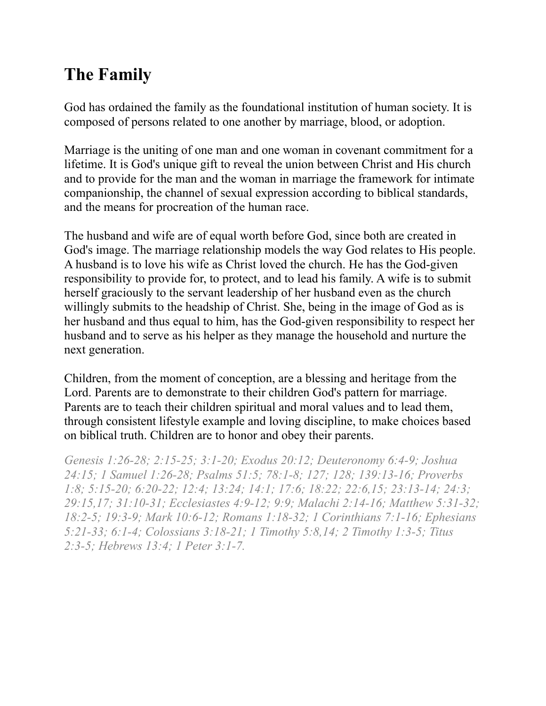### **The Family**

God has ordained the family as the foundational institution of human society. It is composed of persons related to one another by marriage, blood, or adoption.

Marriage is the uniting of one man and one woman in covenant commitment for a lifetime. It is God's unique gift to reveal the union between Christ and His church and to provide for the man and the woman in marriage the framework for intimate companionship, the channel of sexual expression according to biblical standards, and the means for procreation of the human race.

The husband and wife are of equal worth before God, since both are created in God's image. The marriage relationship models the way God relates to His people. A husband is to love his wife as Christ loved the church. He has the God-given responsibility to provide for, to protect, and to lead his family. A wife is to submit herself graciously to the servant leadership of her husband even as the church willingly submits to the headship of Christ. She, being in the image of God as is her husband and thus equal to him, has the God-given responsibility to respect her husband and to serve as his helper as they manage the household and nurture the next generation.

Children, from the moment of conception, are a blessing and heritage from the Lord. Parents are to demonstrate to their children God's pattern for marriage. Parents are to teach their children spiritual and moral values and to lead them, through consistent lifestyle example and loving discipline, to make choices based on biblical truth. Children are to honor and obey their parents.

*Genesis 1:26-28; 2:15-25; 3:1-20; Exodus 20:12; Deuteronomy 6:4-9; Joshua 24:15; 1 Samuel 1:26-28; Psalms 51:5; 78:1-8; 127; 128; 139:13-16; Proverbs 1:8; 5:15-20; 6:20-22; 12:4; 13:24; 14:1; 17:6; 18:22; 22:6,15; 23:13-14; 24:3; 29:15,17; 31:10-31; Ecclesiastes 4:9-12; 9:9; Malachi 2:14-16; Matthew 5:31-32; 18:2-5; 19:3-9; Mark 10:6-12; Romans 1:18-32; 1 Corinthians 7:1-16; Ephesians 5:21-33; 6:1-4; Colossians 3:18-21; 1 Timothy 5:8,14; 2 Timothy 1:3-5; Titus 2:3-5; Hebrews 13:4; 1 Peter 3:1-7.*